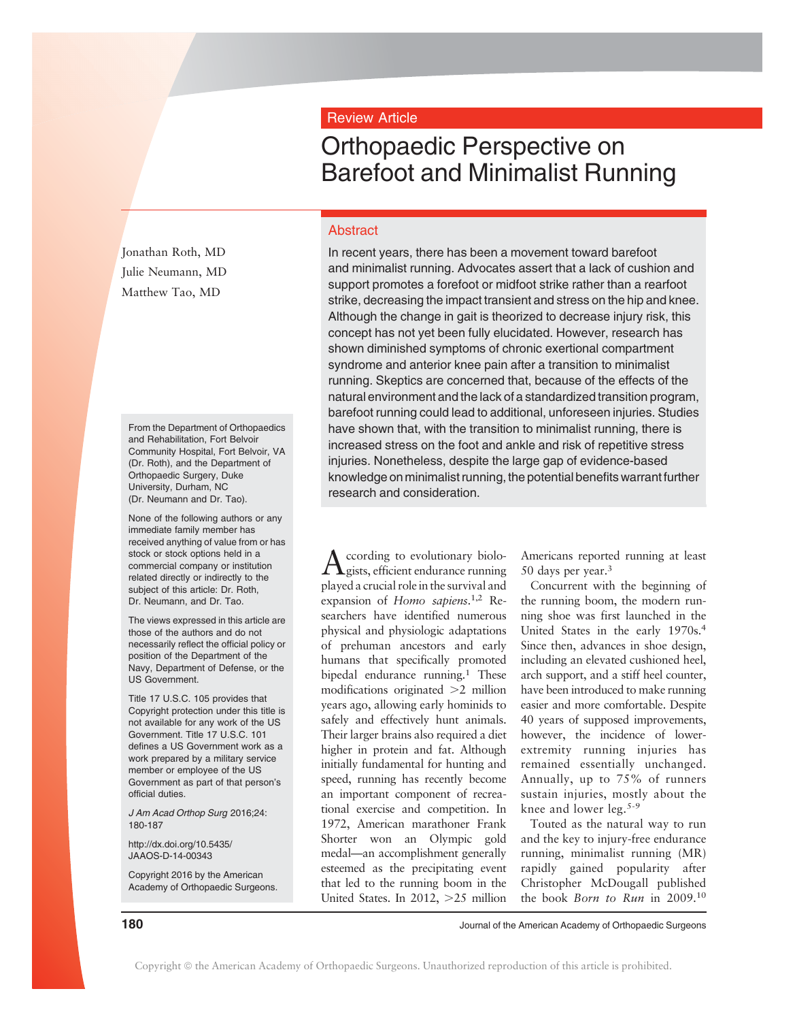## Review Article

# Orthopaedic Perspective on Barefoot and Minimalist Running

## **Abstract**

In recent years, there has been a movement toward barefoot and minimalist running. Advocates assert that a lack of cushion and support promotes a forefoot or midfoot strike rather than a rearfoot strike, decreasing the impact transient and stress on the hip and knee. Although the change in gait is theorized to decrease injury risk, this concept has not yet been fully elucidated. However, research has shown diminished symptoms of chronic exertional compartment syndrome and anterior knee pain after a transition to minimalist running. Skeptics are concerned that, because of the effects of the natural environment and the lack of a standardized transition program, barefoot running could lead to additional, unforeseen injuries. Studies have shown that, with the transition to minimalist running, there is increased stress on the foot and ankle and risk of repetitive stress injuries. Nonetheless, despite the large gap of evidence-based knowledge on minimalist running, the potential benefits warrant further research and consideration.

According to evolutionary biolo-gists, efficient endurance running played a crucial role in the survival and expansion of Homo sapiens.<sup>1,2</sup> Researchers have identified numerous physical and physiologic adaptations of prehuman ancestors and early humans that specifically promoted bipedal endurance running.<sup>1</sup> These modifications originated  $>2$  million years ago, allowing early hominids to safely and effectively hunt animals. Their larger brains also required a diet higher in protein and fat. Although initially fundamental for hunting and speed, running has recently become an important component of recreational exercise and competition. In 1972, American marathoner Frank Shorter won an Olympic gold medal—an accomplishment generally esteemed as the precipitating event that led to the running boom in the United States. In  $2012$ ,  $>25$  million

Americans reported running at least 50 days per year.<sup>3</sup>

Concurrent with the beginning of the running boom, the modern running shoe was first launched in the United States in the early 1970s.4 Since then, advances in shoe design, including an elevated cushioned heel, arch support, and a stiff heel counter, have been introduced to make running easier and more comfortable. Despite 40 years of supposed improvements, however, the incidence of lowerextremity running injuries has remained essentially unchanged. Annually, up to 75% of runners sustain injuries, mostly about the knee and lower leg.5-9

Touted as the natural way to run and the key to injury-free endurance running, minimalist running (MR) rapidly gained popularity after Christopher McDougall published the book Born to Run in 2009.<sup>10</sup>

Jonathan Roth, MD Julie Neumann, MD Matthew Tao, MD

From the Department of Orthopaedics and Rehabilitation, Fort Belvoir Community Hospital, Fort Belvoir, VA (Dr. Roth), and the Department of Orthopaedic Surgery, Duke University, Durham, NC (Dr. Neumann and Dr. Tao).

None of the following authors or any immediate family member has received anything of value from or has stock or stock options held in a commercial company or institution related directly or indirectly to the subject of this article: Dr. Roth, Dr. Neumann, and Dr. Tao.

The views expressed in this article are those of the authors and do not necessarily reflect the official policy or position of the Department of the Navy, Department of Defense, or the US Government.

Title 17 U.S.C. 105 provides that Copyright protection under this title is not available for any work of the US Government. Title 17 U.S.C. 101 defines a US Government work as a work prepared by a military service member or employee of the US Government as part of that person's official duties.

J Am Acad Orthop Surg 2016;24: 180-187

http://dx.doi.org/10.5435/ JAAOS-D-14-00343

Copyright 2016 by the American Academy of Orthopaedic Surgeons.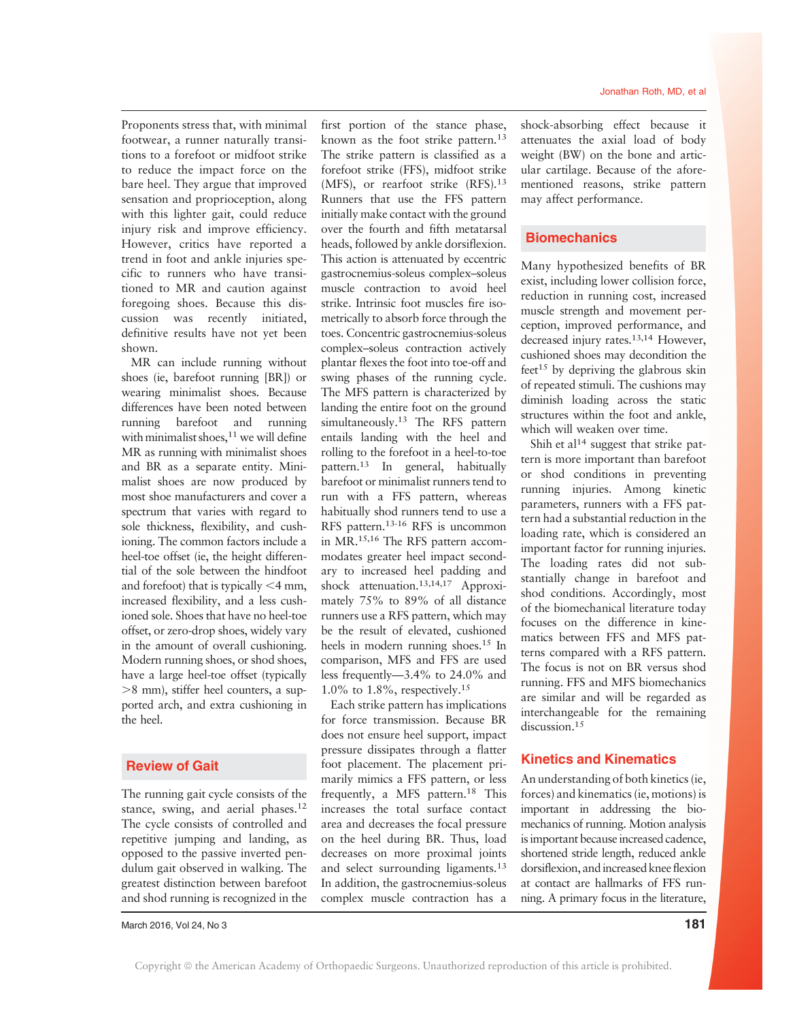Proponents stress that, with minimal footwear, a runner naturally transitions to a forefoot or midfoot strike to reduce the impact force on the bare heel. They argue that improved sensation and proprioception, along with this lighter gait, could reduce injury risk and improve efficiency. However, critics have reported a trend in foot and ankle injuries specific to runners who have transitioned to MR and caution against foregoing shoes. Because this discussion was recently initiated, definitive results have not yet been shown.

MR can include running without shoes (ie, barefoot running [BR]) or wearing minimalist shoes. Because differences have been noted between running barefoot and running with minimalist shoes, $11$  we will define MR as running with minimalist shoes and BR as a separate entity. Minimalist shoes are now produced by most shoe manufacturers and cover a spectrum that varies with regard to sole thickness, flexibility, and cushioning. The common factors include a heel-toe offset (ie, the height differential of the sole between the hindfoot and forefoot) that is typically  $\leq$  4 mm, increased flexibility, and a less cushioned sole. Shoes that have no heel-toe offset, or zero-drop shoes, widely vary in the amount of overall cushioning. Modern running shoes, or shod shoes, have a large heel-toe offset (typically  $>8$  mm), stiffer heel counters, a supported arch, and extra cushioning in the heel.

## Review of Gait

The running gait cycle consists of the stance, swing, and aerial phases.<sup>12</sup> The cycle consists of controlled and repetitive jumping and landing, as opposed to the passive inverted pendulum gait observed in walking. The greatest distinction between barefoot and shod running is recognized in the

first portion of the stance phase, known as the foot strike pattern.13 The strike pattern is classified as a forefoot strike (FFS), midfoot strike (MFS), or rearfoot strike (RFS).<sup>13</sup> Runners that use the FFS pattern initially make contact with the ground over the fourth and fifth metatarsal heads, followed by ankle dorsiflexion. This action is attenuated by eccentric gastrocnemius-soleus complex–soleus muscle contraction to avoid heel strike. Intrinsic foot muscles fire isometrically to absorb force through the toes. Concentric gastrocnemius-soleus complex–soleus contraction actively plantar flexes the foot into toe-off and swing phases of the running cycle. The MFS pattern is characterized by landing the entire foot on the ground simultaneously.13 The RFS pattern entails landing with the heel and rolling to the forefoot in a heel-to-toe pattern.13 In general, habitually barefoot or minimalist runners tend to run with a FFS pattern, whereas habitually shod runners tend to use a RFS pattern.13-16 RFS is uncommon in MR.15,16 The RFS pattern accommodates greater heel impact secondary to increased heel padding and shock attenuation.13,14,17 Approximately 75% to 89% of all distance runners use a RFS pattern, which may be the result of elevated, cushioned heels in modern running shoes.<sup>15</sup> In comparison, MFS and FFS are used less frequently—3.4% to 24.0% and 1.0% to 1.8%, respectively.<sup>15</sup>

Each strike pattern has implications for force transmission. Because BR does not ensure heel support, impact pressure dissipates through a flatter foot placement. The placement primarily mimics a FFS pattern, or less frequently, a MFS pattern.<sup>18</sup> This increases the total surface contact area and decreases the focal pressure on the heel during BR. Thus, load decreases on more proximal joints and select surrounding ligaments.13 In addition, the gastrocnemius-soleus complex muscle contraction has a

shock-absorbing effect because it attenuates the axial load of body weight (BW) on the bone and articular cartilage. Because of the aforementioned reasons, strike pattern may affect performance.

## **Biomechanics**

Many hypothesized benefits of BR exist, including lower collision force, reduction in running cost, increased muscle strength and movement perception, improved performance, and decreased injury rates.13,14 However, cushioned shoes may decondition the feet<sup>15</sup> by depriving the glabrous skin of repeated stimuli. The cushions may diminish loading across the static structures within the foot and ankle, which will weaken over time.

Shih et al<sup>14</sup> suggest that strike pattern is more important than barefoot or shod conditions in preventing running injuries. Among kinetic parameters, runners with a FFS pattern had a substantial reduction in the loading rate, which is considered an important factor for running injuries. The loading rates did not substantially change in barefoot and shod conditions. Accordingly, most of the biomechanical literature today focuses on the difference in kinematics between FFS and MFS patterns compared with a RFS pattern. The focus is not on BR versus shod running. FFS and MFS biomechanics are similar and will be regarded as interchangeable for the remaining discussion.<sup>15</sup>

# Kinetics and Kinematics

An understanding of both kinetics (ie, forces) and kinematics (ie, motions) is important in addressing the biomechanics of running. Motion analysis is important because increased cadence, shortened stride length, reduced ankle dorsiflexion, and increased knee flexion at contact are hallmarks of FFS running. A primary focus in the literature,

March 2016, Vol 24, No 3 **181**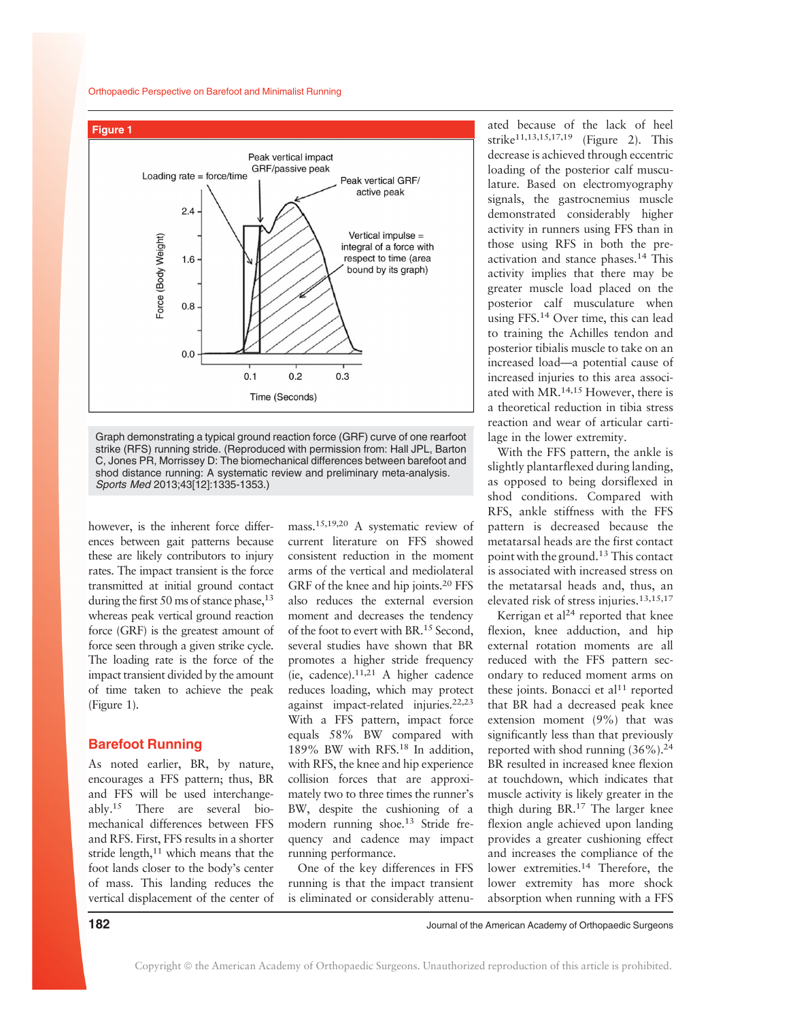#### Orthopaedic Perspective on Barefoot and Minimalist Running



Graph demonstrating a typical ground reaction force (GRF) curve of one rearfoot strike (RFS) running stride. (Reproduced with permission from: Hall JPL, Barton C, Jones PR, Morrissey D: The biomechanical differences between barefoot and shod distance running: A systematic review and preliminary meta-analysis. Sports Med 2013;43[12]:1335-1353.)

however, is the inherent force differences between gait patterns because these are likely contributors to injury rates. The impact transient is the force transmitted at initial ground contact during the first 50 ms of stance phase,<sup>13</sup> whereas peak vertical ground reaction force (GRF) is the greatest amount of force seen through a given strike cycle. The loading rate is the force of the impact transient divided by the amount of time taken to achieve the peak (Figure 1).

## Barefoot Running

As noted earlier, BR, by nature, encourages a FFS pattern; thus, BR and FFS will be used interchangeably.15 There are several biomechanical differences between FFS and RFS. First, FFS results in a shorter stride length,<sup>11</sup> which means that the foot lands closer to the body's center of mass. This landing reduces the vertical displacement of the center of

mass.15,19,20 A systematic review of current literature on FFS showed consistent reduction in the moment arms of the vertical and mediolateral GRF of the knee and hip joints.<sup>20</sup> FFS also reduces the external eversion moment and decreases the tendency of the foot to evert with BR.15 Second, several studies have shown that BR promotes a higher stride frequency (ie, cadence).11,21 A higher cadence reduces loading, which may protect against impact-related injuries.<sup>22,23</sup> With a FFS pattern, impact force equals 58% BW compared with 189% BW with RFS.18 In addition, with RFS, the knee and hip experience collision forces that are approximately two to three times the runner's BW, despite the cushioning of a modern running shoe.13 Stride frequency and cadence may impact running performance.

One of the key differences in FFS running is that the impact transient is eliminated or considerably attenuated because of the lack of heel strike<sup>11,13,15,17,19</sup> (Figure 2). This decrease is achieved through eccentric loading of the posterior calf musculature. Based on electromyography signals, the gastrocnemius muscle demonstrated considerably higher activity in runners using FFS than in those using RFS in both the preactivation and stance phases.14 This activity implies that there may be greater muscle load placed on the posterior calf musculature when using FFS.14 Over time, this can lead to training the Achilles tendon and posterior tibialis muscle to take on an increased load—a potential cause of increased injuries to this area associated with MR.14,15 However, there is a theoretical reduction in tibia stress reaction and wear of articular cartilage in the lower extremity.

With the FFS pattern, the ankle is slightly plantarflexed during landing, as opposed to being dorsiflexed in shod conditions. Compared with RFS, ankle stiffness with the FFS pattern is decreased because the metatarsal heads are the first contact point with the ground.<sup>13</sup> This contact is associated with increased stress on the metatarsal heads and, thus, an elevated risk of stress injuries.13,15,17

Kerrigan et al<sup>24</sup> reported that knee flexion, knee adduction, and hip external rotation moments are all reduced with the FFS pattern secondary to reduced moment arms on these joints. Bonacci et  $al<sup>11</sup>$  reported that BR had a decreased peak knee extension moment (9%) that was significantly less than that previously reported with shod running (36%).24 BR resulted in increased knee flexion at touchdown, which indicates that muscle activity is likely greater in the thigh during BR.17 The larger knee flexion angle achieved upon landing provides a greater cushioning effect and increases the compliance of the lower extremities.14 Therefore, the lower extremity has more shock absorption when running with a FFS

182 **182 182 182 182 182 182 182 182 182 182 182 182 182 182 182 182 182 182 182 182 182 182 182 182 182 182 182 182 182 182 182 182 182 182 182 182 1**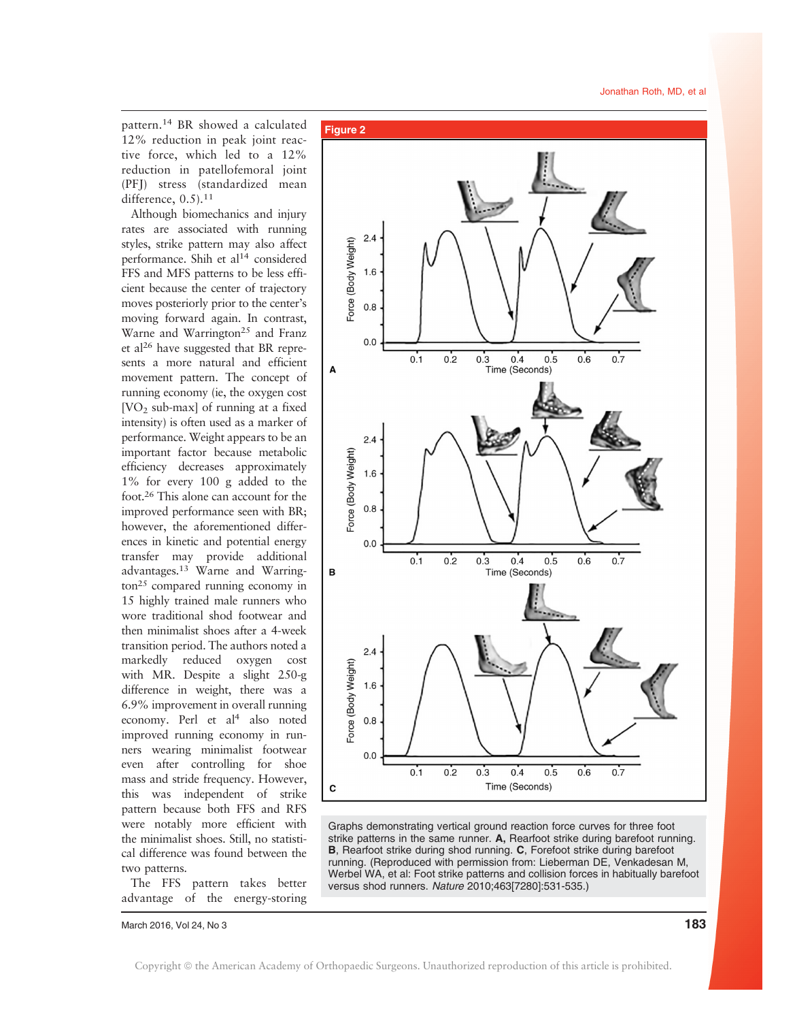pattern.<sup>14</sup> BR showed a calculated 12% reduction in peak joint reactive force, which led to a 12% reduction in patellofemoral joint (PFJ) stress (standardized mean difference,  $0.5$ ).<sup>11</sup>

Although biomechanics and injury rates are associated with running styles, strike pattern may also affect performance. Shih et al<sup>14</sup> considered FFS and MFS patterns to be less efficient because the center of trajectory moves posteriorly prior to the center's moving forward again. In contrast, Warne and Warrington<sup>25</sup> and Franz et al26 have suggested that BR represents a more natural and efficient movement pattern. The concept of running economy (ie, the oxygen cost [ $VO<sub>2</sub>$  sub-max] of running at a fixed intensity) is often used as a marker of performance. Weight appears to be an important factor because metabolic efficiency decreases approximately 1% for every 100 g added to the foot.26 This alone can account for the improved performance seen with BR; however, the aforementioned differences in kinetic and potential energy transfer may provide additional advantages.13 Warne and Warring- $\text{ton}^{25}$  compared running economy in 15 highly trained male runners who wore traditional shod footwear and then minimalist shoes after a 4-week transition period. The authors noted a markedly reduced oxygen cost with MR. Despite a slight 250-g difference in weight, there was a 6.9% improvement in overall running economy. Perl et al<sup>4</sup> also noted improved running economy in runners wearing minimalist footwear even after controlling for shoe mass and stride frequency. However, this was independent of strike pattern because both FFS and RFS were notably more efficient with the minimalist shoes. Still, no statistical difference was found between the two patterns.

The FFS pattern takes better advantage of the energy-storing



Graphs demonstrating vertical ground reaction force curves for three foot strike patterns in the same runner. A, Rearfoot strike during barefoot running. B, Rearfoot strike during shod running. C, Forefoot strike during barefoot running. (Reproduced with permission from: Lieberman DE, Venkadesan M, Werbel WA, et al: Foot strike patterns and collision forces in habitually barefoot versus shod runners. Nature 2010;463[7280]:531-535.)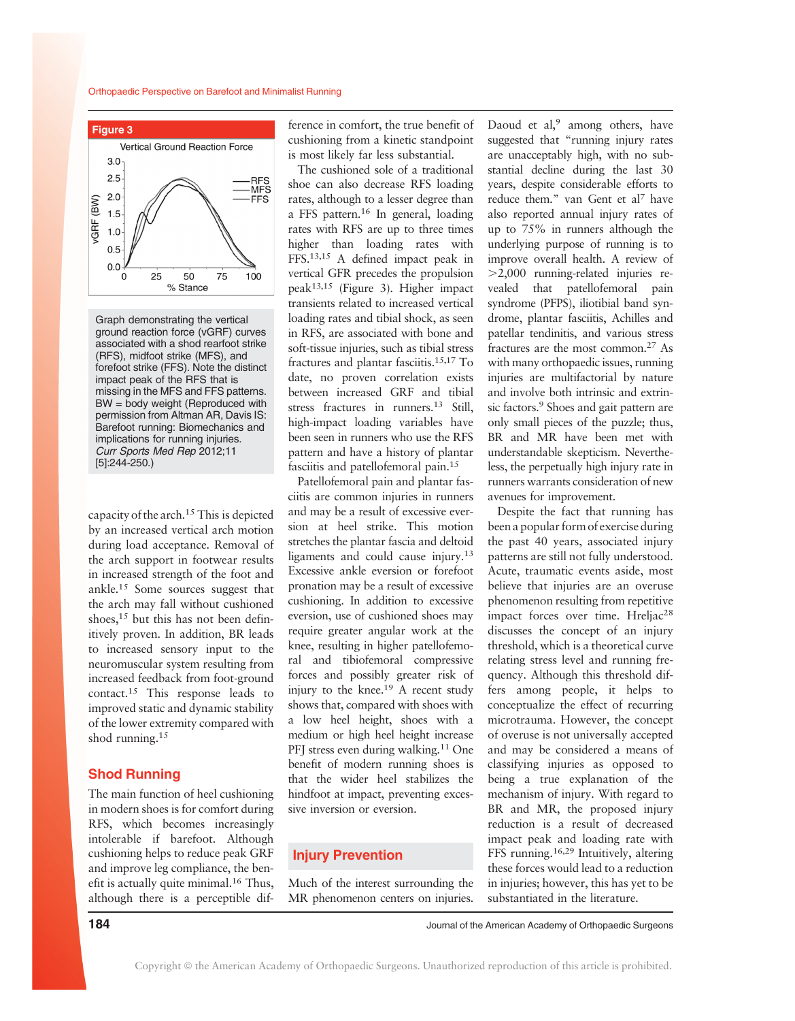#### Orthopaedic Perspective on Barefoot and Minimalist Running



Graph demonstrating the vertical ground reaction force (vGRF) curves associated with a shod rearfoot strike (RFS), midfoot strike (MFS), and forefoot strike (FFS). Note the distinct impact peak of the RFS that is missing in the MFS and FFS patterns. BW = body weight (Reproduced with permission from Altman AR, Davis IS: Barefoot running: Biomechanics and implications for running injuries. Curr Sports Med Rep 2012;11 [5]:244-250.)

capacity of the arch.15 This is depicted by an increased vertical arch motion during load acceptance. Removal of the arch support in footwear results in increased strength of the foot and ankle.15 Some sources suggest that the arch may fall without cushioned shoes,<sup>15</sup> but this has not been definitively proven. In addition, BR leads to increased sensory input to the neuromuscular system resulting from increased feedback from foot-ground contact.15 This response leads to improved static and dynamic stability of the lower extremity compared with shod running.15

## Shod Running

The main function of heel cushioning in modern shoes is for comfort during RFS, which becomes increasingly intolerable if barefoot. Although cushioning helps to reduce peak GRF and improve leg compliance, the benefit is actually quite minimal.16 Thus, although there is a perceptible difference in comfort, the true benefit of cushioning from a kinetic standpoint is most likely far less substantial.

The cushioned sole of a traditional shoe can also decrease RFS loading rates, although to a lesser degree than a FFS pattern.16 In general, loading rates with RFS are up to three times higher than loading rates with FFS.13,15 A defined impact peak in vertical GFR precedes the propulsion peak<sup>13,15</sup> (Figure 3). Higher impact transients related to increased vertical loading rates and tibial shock, as seen in RFS, are associated with bone and soft-tissue injuries, such as tibial stress fractures and plantar fasciitis.15,17 To date, no proven correlation exists between increased GRF and tibial stress fractures in runners.<sup>13</sup> Still, high-impact loading variables have been seen in runners who use the RFS pattern and have a history of plantar fasciitis and patellofemoral pain.15

Patellofemoral pain and plantar fasciitis are common injuries in runners and may be a result of excessive eversion at heel strike. This motion stretches the plantar fascia and deltoid ligaments and could cause injury.<sup>13</sup> Excessive ankle eversion or forefoot pronation may be a result of excessive cushioning. In addition to excessive eversion, use of cushioned shoes may require greater angular work at the knee, resulting in higher patellofemoral and tibiofemoral compressive forces and possibly greater risk of injury to the knee.19 A recent study shows that, compared with shoes with a low heel height, shoes with a medium or high heel height increase PFJ stress even during walking.<sup>11</sup> One benefit of modern running shoes is that the wider heel stabilizes the hindfoot at impact, preventing excessive inversion or eversion.

# Injury Prevention

Much of the interest surrounding the MR phenomenon centers on injuries.

Daoud et al,<sup>9</sup> among others, have suggested that "running injury rates are unacceptably high, with no substantial decline during the last 30 years, despite considerable efforts to reduce them." van Gent et al<sup>7</sup> have also reported annual injury rates of up to 75% in runners although the underlying purpose of running is to improve overall health. A review of  $>2,000$  running-related injuries revealed that patellofemoral pain syndrome (PFPS), iliotibial band syndrome, plantar fasciitis, Achilles and patellar tendinitis, and various stress fractures are the most common.27 As with many orthopaedic issues, running injuries are multifactorial by nature and involve both intrinsic and extrinsic factors.<sup>9</sup> Shoes and gait pattern are only small pieces of the puzzle; thus, BR and MR have been met with understandable skepticism. Nevertheless, the perpetually high injury rate in runners warrants consideration of new avenues for improvement.

Despite the fact that running has been a popular form of exercise during the past 40 years, associated injury patterns are still not fully understood. Acute, traumatic events aside, most believe that injuries are an overuse phenomenon resulting from repetitive impact forces over time. Hreljac<sup>28</sup> discusses the concept of an injury threshold, which is a theoretical curve relating stress level and running frequency. Although this threshold differs among people, it helps to conceptualize the effect of recurring microtrauma. However, the concept of overuse is not universally accepted and may be considered a means of classifying injuries as opposed to being a true explanation of the mechanism of injury. With regard to BR and MR, the proposed injury reduction is a result of decreased impact peak and loading rate with FFS running.16,29 Intuitively, altering these forces would lead to a reduction in injuries; however, this has yet to be substantiated in the literature.

**184 184 184 184 184 184 184 184 184 184 184 184 184 184 184 184 184 184 184 184 184 184 184 184 184 184 184 184 184 184 184 184 184 184 184 184 184**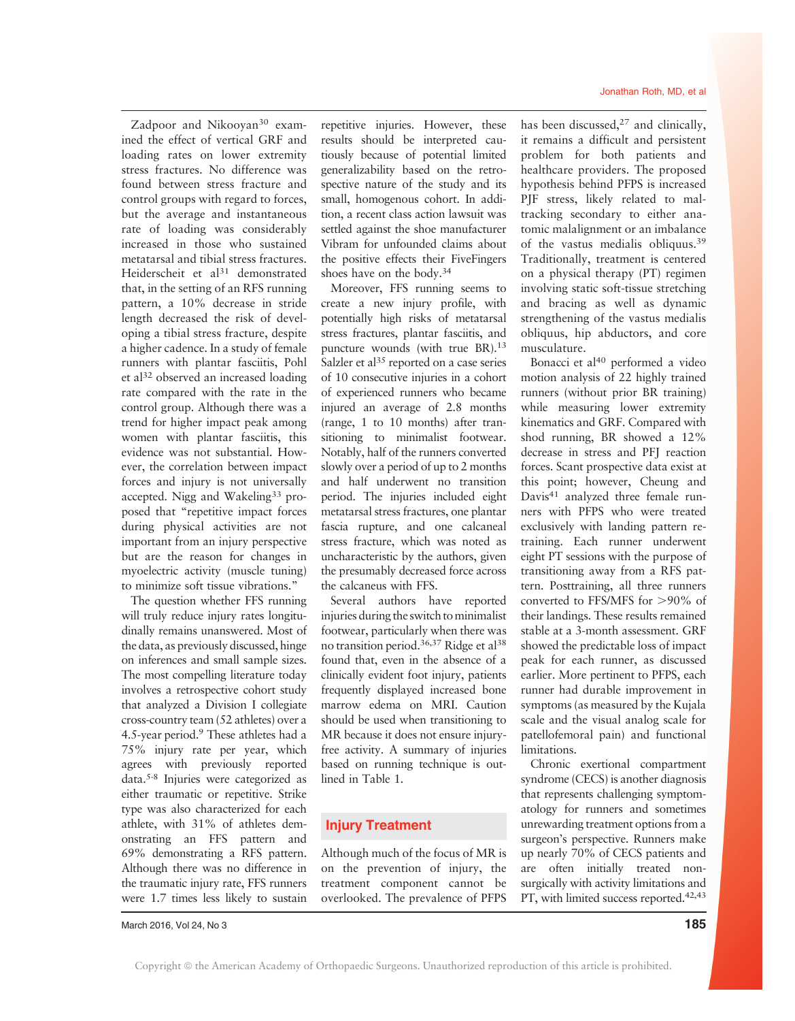Zadpoor and Nikooyan<sup>30</sup> examined the effect of vertical GRF and loading rates on lower extremity stress fractures. No difference was found between stress fracture and control groups with regard to forces, but the average and instantaneous rate of loading was considerably increased in those who sustained metatarsal and tibial stress fractures. Heiderscheit et al<sup>31</sup> demonstrated that, in the setting of an RFS running pattern, a 10% decrease in stride length decreased the risk of developing a tibial stress fracture, despite a higher cadence. In a study of female runners with plantar fasciitis, Pohl et al<sup>32</sup> observed an increased loading rate compared with the rate in the control group. Although there was a trend for higher impact peak among women with plantar fasciitis, this evidence was not substantial. However, the correlation between impact forces and injury is not universally accepted. Nigg and Wakeling<sup>33</sup> proposed that "repetitive impact forces during physical activities are not important from an injury perspective but are the reason for changes in myoelectric activity (muscle tuning) to minimize soft tissue vibrations."

The question whether FFS running will truly reduce injury rates longitudinally remains unanswered. Most of the data, as previously discussed, hinge on inferences and small sample sizes. The most compelling literature today involves a retrospective cohort study that analyzed a Division I collegiate cross-country team (52 athletes) over a 4.5-year period.9 These athletes had a 75% injury rate per year, which agrees with previously reported data.5-8 Injuries were categorized as either traumatic or repetitive. Strike type was also characterized for each athlete, with 31% of athletes demonstrating an FFS pattern and 69% demonstrating a RFS pattern. Although there was no difference in the traumatic injury rate, FFS runners were 1.7 times less likely to sustain

repetitive injuries. However, these results should be interpreted cautiously because of potential limited generalizability based on the retrospective nature of the study and its small, homogenous cohort. In addition, a recent class action lawsuit was settled against the shoe manufacturer Vibram for unfounded claims about the positive effects their FiveFingers shoes have on the body.34

Moreover, FFS running seems to create a new injury profile, with potentially high risks of metatarsal stress fractures, plantar fasciitis, and puncture wounds (with true BR).<sup>13</sup> Salzler et  $a^{35}$  reported on a case series of 10 consecutive injuries in a cohort of experienced runners who became injured an average of 2.8 months (range, 1 to 10 months) after transitioning to minimalist footwear. Notably, half of the runners converted slowly over a period of up to 2 months and half underwent no transition period. The injuries included eight metatarsal stress fractures, one plantar fascia rupture, and one calcaneal stress fracture, which was noted as uncharacteristic by the authors, given the presumably decreased force across the calcaneus with FFS.

Several authors have reported injuries during the switch to minimalist footwear, particularly when there was no transition period.36,37 Ridge et al38 found that, even in the absence of a clinically evident foot injury, patients frequently displayed increased bone marrow edema on MRI. Caution should be used when transitioning to MR because it does not ensure injuryfree activity. A summary of injuries based on running technique is outlined in Table 1.

## Injury Treatment

Although much of the focus of MR is on the prevention of injury, the treatment component cannot be overlooked. The prevalence of PFPS

has been discussed,<sup>27</sup> and clinically, it remains a difficult and persistent problem for both patients and healthcare providers. The proposed hypothesis behind PFPS is increased PJF stress, likely related to maltracking secondary to either anatomic malalignment or an imbalance of the vastus medialis obliquus.39 Traditionally, treatment is centered on a physical therapy (PT) regimen involving static soft-tissue stretching and bracing as well as dynamic strengthening of the vastus medialis obliquus, hip abductors, and core musculature.

Bonacci et al<sup>40</sup> performed a video motion analysis of 22 highly trained runners (without prior BR training) while measuring lower extremity kinematics and GRF. Compared with shod running, BR showed a 12% decrease in stress and PFJ reaction forces. Scant prospective data exist at this point; however, Cheung and Davis<sup>41</sup> analyzed three female runners with PFPS who were treated exclusively with landing pattern retraining. Each runner underwent eight PT sessions with the purpose of transitioning away from a RFS pattern. Posttraining, all three runners converted to FFS/MFS for  $>90\%$  of their landings. These results remained stable at a 3-month assessment. GRF showed the predictable loss of impact peak for each runner, as discussed earlier. More pertinent to PFPS, each runner had durable improvement in symptoms (as measured by the Kujala scale and the visual analog scale for patellofemoral pain) and functional limitations.

Chronic exertional compartment syndrome (CECS) is another diagnosis that represents challenging symptomatology for runners and sometimes unrewarding treatment options from a surgeon's perspective. Runners make up nearly 70% of CECS patients and are often initially treated nonsurgically with activity limitations and PT, with limited success reported.<sup>42,43</sup>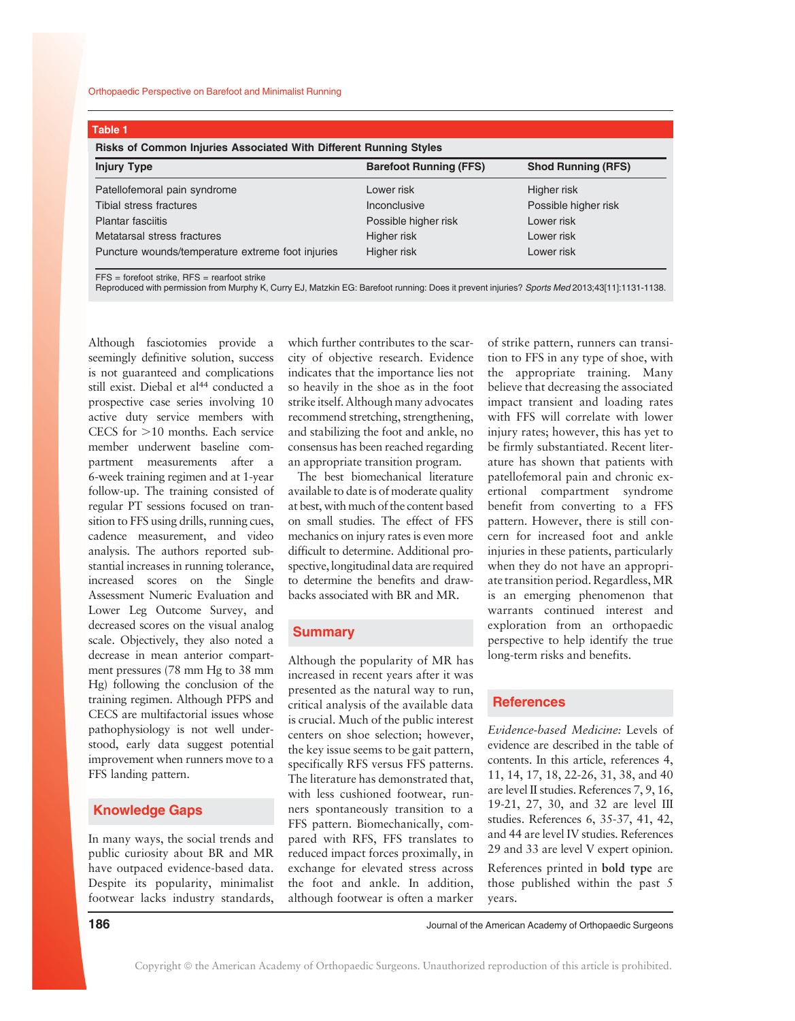| Risks of Common Injuries Associated With Different Running Styles |                               |                           |
|-------------------------------------------------------------------|-------------------------------|---------------------------|
| <b>Injury Type</b>                                                | <b>Barefoot Running (FFS)</b> | <b>Shod Running (RFS)</b> |
| Patellofemoral pain syndrome                                      | Lower risk                    | Higher risk               |
| Tibial stress fractures                                           | Inconclusive                  | Possible higher risk      |
| <b>Plantar fasciitis</b>                                          | Possible higher risk          | Lower risk                |
| Metatarsal stress fractures                                       | Higher risk                   | Lower risk                |
| Puncture wounds/temperature extreme foot injuries                 | Higher risk                   | Lower risk                |

FFS = forefoot strike, RFS = rearfoot strike

Reproduced with permission from Murphy K, Curry EJ, Matzkin EG: Barefoot running: Does it prevent injuries? *Sports Med* 2013;43[11]:1131-1138.

Although fasciotomies provide a seemingly definitive solution, success is not guaranteed and complications still exist. Diebal et al<sup>44</sup> conducted a prospective case series involving 10 active duty service members with CECS for  $>10$  months. Each service member underwent baseline compartment measurements after a 6-week training regimen and at 1-year follow-up. The training consisted of regular PT sessions focused on transition to FFS using drills, running cues, cadence measurement, and video analysis. The authors reported substantial increases in running tolerance, increased scores on the Single Assessment Numeric Evaluation and Lower Leg Outcome Survey, and decreased scores on the visual analog scale. Objectively, they also noted a decrease in mean anterior compartment pressures (78 mm Hg to 38 mm Hg) following the conclusion of the training regimen. Although PFPS and CECS are multifactorial issues whose pathophysiology is not well understood, early data suggest potential improvement when runners move to a FFS landing pattern.

## Knowledge Gaps

In many ways, the social trends and public curiosity about BR and MR have outpaced evidence-based data. Despite its popularity, minimalist footwear lacks industry standards,

which further contributes to the scarcity of objective research. Evidence indicates that the importance lies not so heavily in the shoe as in the foot strike itself. Although many advocates recommend stretching, strengthening, and stabilizing the foot and ankle, no consensus has been reached regarding an appropriate transition program.

The best biomechanical literature available to date is of moderate quality at best, with much of the content based on small studies. The effect of FFS mechanics on injury rates is even more difficult to determine. Additional prospective, longitudinal data are required to determine the benefits and drawbacks associated with BR and MR.

### **Summary**

Although the popularity of MR has increased in recent years after it was presented as the natural way to run, critical analysis of the available data is crucial. Much of the public interest centers on shoe selection; however, the key issue seems to be gait pattern, specifically RFS versus FFS patterns. The literature has demonstrated that, with less cushioned footwear, runners spontaneously transition to a FFS pattern. Biomechanically, compared with RFS, FFS translates to reduced impact forces proximally, in exchange for elevated stress across the foot and ankle. In addition, although footwear is often a marker

of strike pattern, runners can transition to FFS in any type of shoe, with the appropriate training. Many believe that decreasing the associated impact transient and loading rates with FFS will correlate with lower injury rates; however, this has yet to be firmly substantiated. Recent literature has shown that patients with patellofemoral pain and chronic exertional compartment syndrome benefit from converting to a FFS pattern. However, there is still concern for increased foot and ankle injuries in these patients, particularly when they do not have an appropriate transition period. Regardless,MR is an emerging phenomenon that warrants continued interest and exploration from an orthopaedic perspective to help identify the true long-term risks and benefits.

## **References**

Evidence-based Medicine: Levels of evidence are described in the table of contents. In this article, references 4, 11, 14, 17, 18, 22-26, 31, 38, and 40 are level II studies. References 7, 9, 16, 19-21, 27, 30, and 32 are level III studies. References 6, 35-37, 41, 42, and 44 are level IV studies. References 29 and 33 are level V expert opinion. References printed in bold type are those published within the past 5 years.

**186 186 186 186 186 186 186 186 186 186 186 187 188 188 189 189 189 189 189 189 189 189 189 189 189 189 189 189 189 189 189 189 189 189 189 189 189**